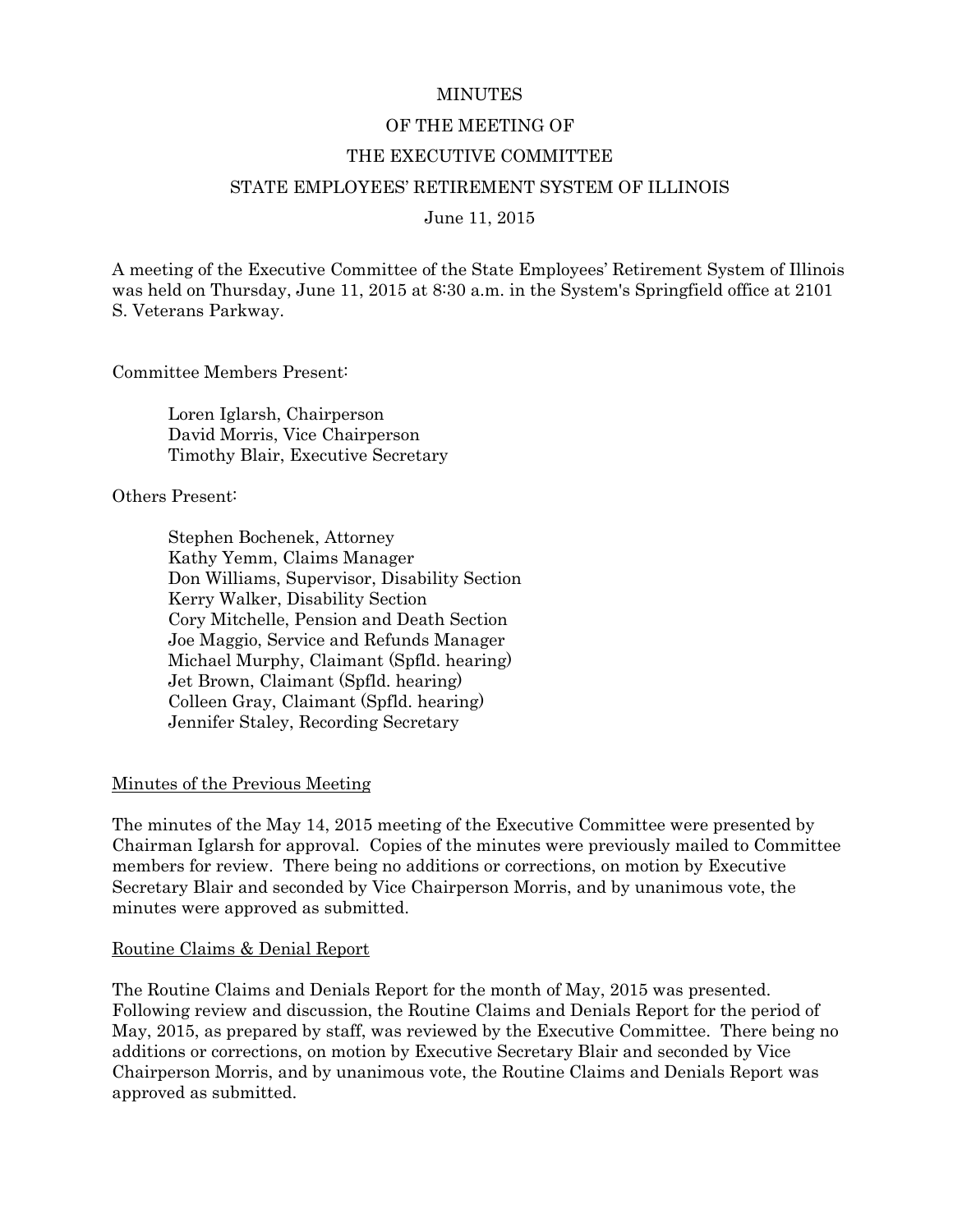#### **MINUTES**

#### OF THE MEETING OF

#### THE EXECUTIVE COMMITTEE

### STATE EMPLOYEES' RETIREMENT SYSTEM OF ILLINOIS

June 11, 2015

A meeting of the Executive Committee of the State Employees' Retirement System of Illinois was held on Thursday, June 11, 2015 at 8:30 a.m. in the System's Springfield office at 2101 S. Veterans Parkway.

Committee Members Present:

Loren Iglarsh, Chairperson David Morris, Vice Chairperson Timothy Blair, Executive Secretary

Others Present:

Stephen Bochenek, Attorney Kathy Yemm, Claims Manager Don Williams, Supervisor, Disability Section Kerry Walker, Disability Section Cory Mitchelle, Pension and Death Section Joe Maggio, Service and Refunds Manager Michael Murphy, Claimant (Spfld. hearing) Jet Brown, Claimant (Spfld. hearing) Colleen Gray, Claimant (Spfld. hearing) Jennifer Staley, Recording Secretary

#### Minutes of the Previous Meeting

The minutes of the May 14, 2015 meeting of the Executive Committee were presented by Chairman Iglarsh for approval. Copies of the minutes were previously mailed to Committee members for review. There being no additions or corrections, on motion by Executive Secretary Blair and seconded by Vice Chairperson Morris, and by unanimous vote, the minutes were approved as submitted.

#### Routine Claims & Denial Report

The Routine Claims and Denials Report for the month of May, 2015 was presented. Following review and discussion, the Routine Claims and Denials Report for the period of May, 2015, as prepared by staff, was reviewed by the Executive Committee. There being no additions or corrections, on motion by Executive Secretary Blair and seconded by Vice Chairperson Morris, and by unanimous vote, the Routine Claims and Denials Report was approved as submitted.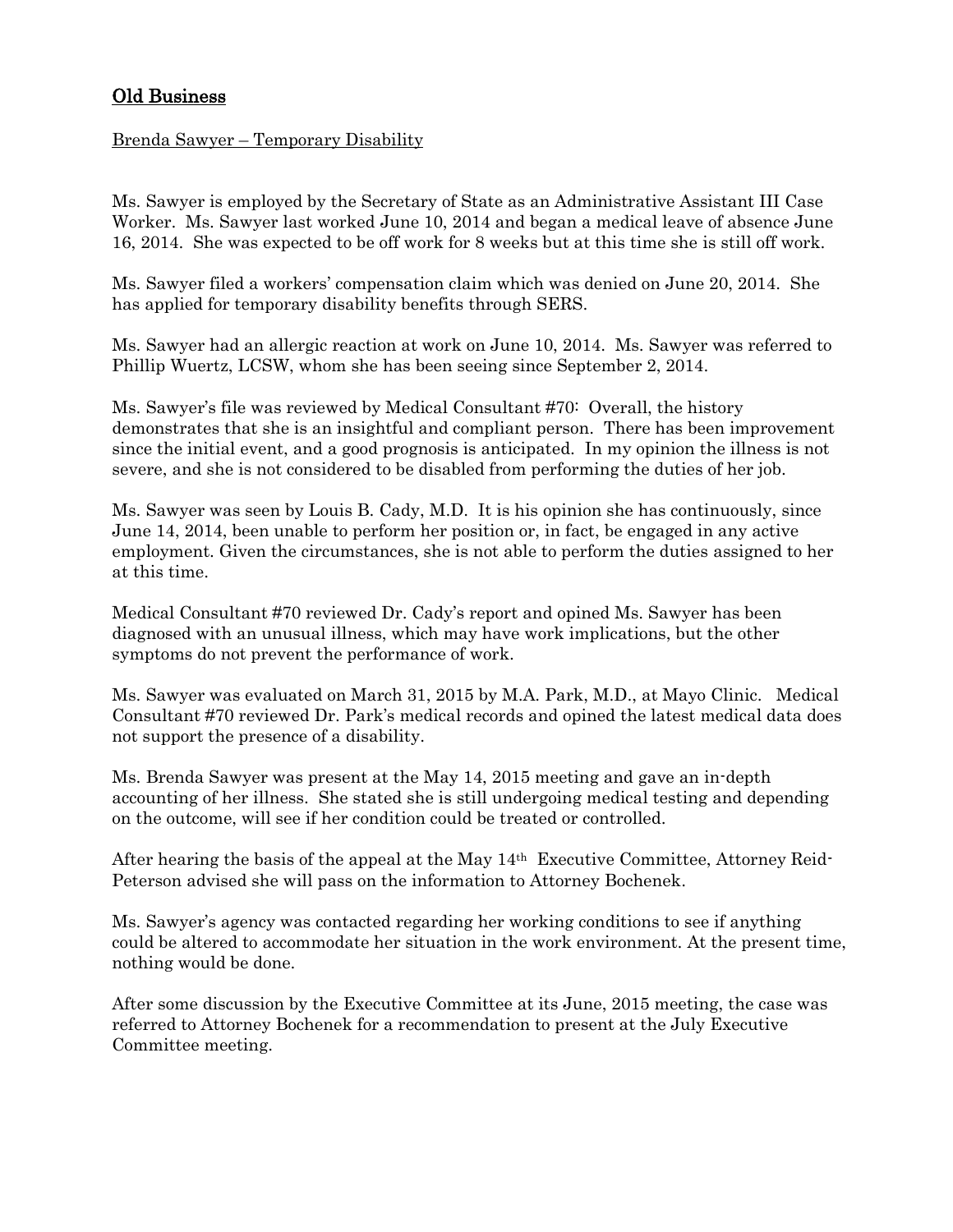# Old Business

### Brenda Sawyer – Temporary Disability

Ms. Sawyer is employed by the Secretary of State as an Administrative Assistant III Case Worker. Ms. Sawyer last worked June 10, 2014 and began a medical leave of absence June 16, 2014. She was expected to be off work for 8 weeks but at this time she is still off work.

Ms. Sawyer filed a workers' compensation claim which was denied on June 20, 2014. She has applied for temporary disability benefits through SERS.

Ms. Sawyer had an allergic reaction at work on June 10, 2014. Ms. Sawyer was referred to Phillip Wuertz, LCSW, whom she has been seeing since September 2, 2014.

Ms. Sawyer's file was reviewed by Medical Consultant #70: Overall, the history demonstrates that she is an insightful and compliant person. There has been improvement since the initial event, and a good prognosis is anticipated. In my opinion the illness is not severe, and she is not considered to be disabled from performing the duties of her job.

Ms. Sawyer was seen by Louis B. Cady, M.D. It is his opinion she has continuously, since June 14, 2014, been unable to perform her position or, in fact, be engaged in any active employment. Given the circumstances, she is not able to perform the duties assigned to her at this time.

Medical Consultant #70 reviewed Dr. Cady's report and opined Ms. Sawyer has been diagnosed with an unusual illness, which may have work implications, but the other symptoms do not prevent the performance of work.

Ms. Sawyer was evaluated on March 31, 2015 by M.A. Park, M.D., at Mayo Clinic. Medical Consultant #70 reviewed Dr. Park's medical records and opined the latest medical data does not support the presence of a disability.

Ms. Brenda Sawyer was present at the May 14, 2015 meeting and gave an in-depth accounting of her illness. She stated she is still undergoing medical testing and depending on the outcome, will see if her condition could be treated or controlled.

After hearing the basis of the appeal at the May 14th Executive Committee, Attorney Reid-Peterson advised she will pass on the information to Attorney Bochenek.

Ms. Sawyer's agency was contacted regarding her working conditions to see if anything could be altered to accommodate her situation in the work environment. At the present time, nothing would be done.

After some discussion by the Executive Committee at its June, 2015 meeting, the case was referred to Attorney Bochenek for a recommendation to present at the July Executive Committee meeting.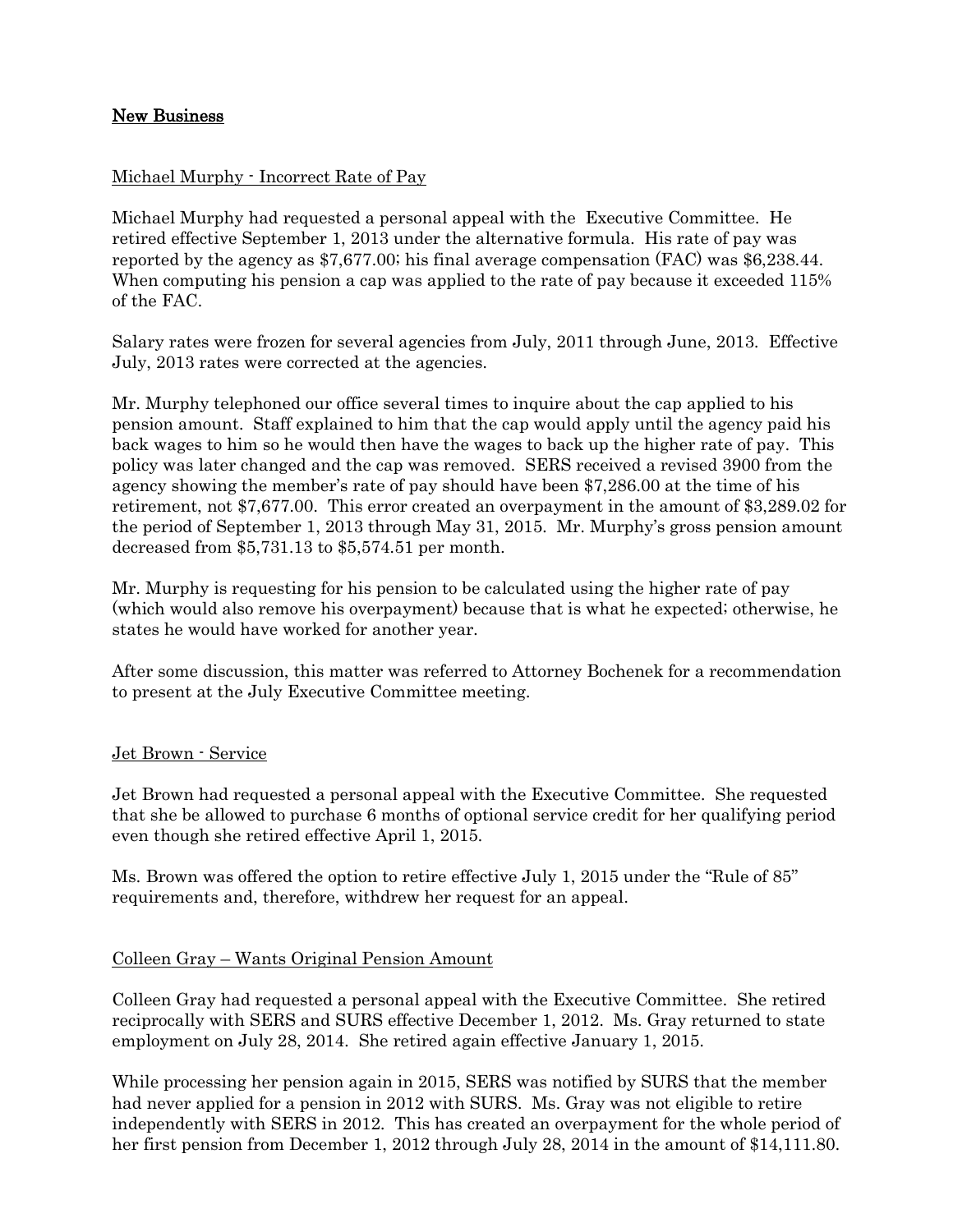# New Business

# Michael Murphy - Incorrect Rate of Pay

Michael Murphy had requested a personal appeal with the Executive Committee. He retired effective September 1, 2013 under the alternative formula. His rate of pay was reported by the agency as \$7,677.00; his final average compensation (FAC) was \$6,238.44. When computing his pension a cap was applied to the rate of pay because it exceeded 115% of the FAC.

Salary rates were frozen for several agencies from July, 2011 through June, 2013. Effective July, 2013 rates were corrected at the agencies.

Mr. Murphy telephoned our office several times to inquire about the cap applied to his pension amount. Staff explained to him that the cap would apply until the agency paid his back wages to him so he would then have the wages to back up the higher rate of pay. This policy was later changed and the cap was removed. SERS received a revised 3900 from the agency showing the member's rate of pay should have been \$7,286.00 at the time of his retirement, not \$7,677.00. This error created an overpayment in the amount of \$3,289.02 for the period of September 1, 2013 through May 31, 2015. Mr. Murphy's gross pension amount decreased from \$5,731.13 to \$5,574.51 per month.

Mr. Murphy is requesting for his pension to be calculated using the higher rate of pay (which would also remove his overpayment) because that is what he expected; otherwise, he states he would have worked for another year.

After some discussion, this matter was referred to Attorney Bochenek for a recommendation to present at the July Executive Committee meeting.

### Jet Brown - Service

Jet Brown had requested a personal appeal with the Executive Committee. She requested that she be allowed to purchase 6 months of optional service credit for her qualifying period even though she retired effective April 1, 2015.

Ms. Brown was offered the option to retire effective July 1, 2015 under the "Rule of 85" requirements and, therefore, withdrew her request for an appeal.

### Colleen Gray – Wants Original Pension Amount

Colleen Gray had requested a personal appeal with the Executive Committee. She retired reciprocally with SERS and SURS effective December 1, 2012. Ms. Gray returned to state employment on July 28, 2014. She retired again effective January 1, 2015.

While processing her pension again in 2015, SERS was notified by SURS that the member had never applied for a pension in 2012 with SURS. Ms. Gray was not eligible to retire independently with SERS in 2012. This has created an overpayment for the whole period of her first pension from December 1, 2012 through July 28, 2014 in the amount of \$14,111.80.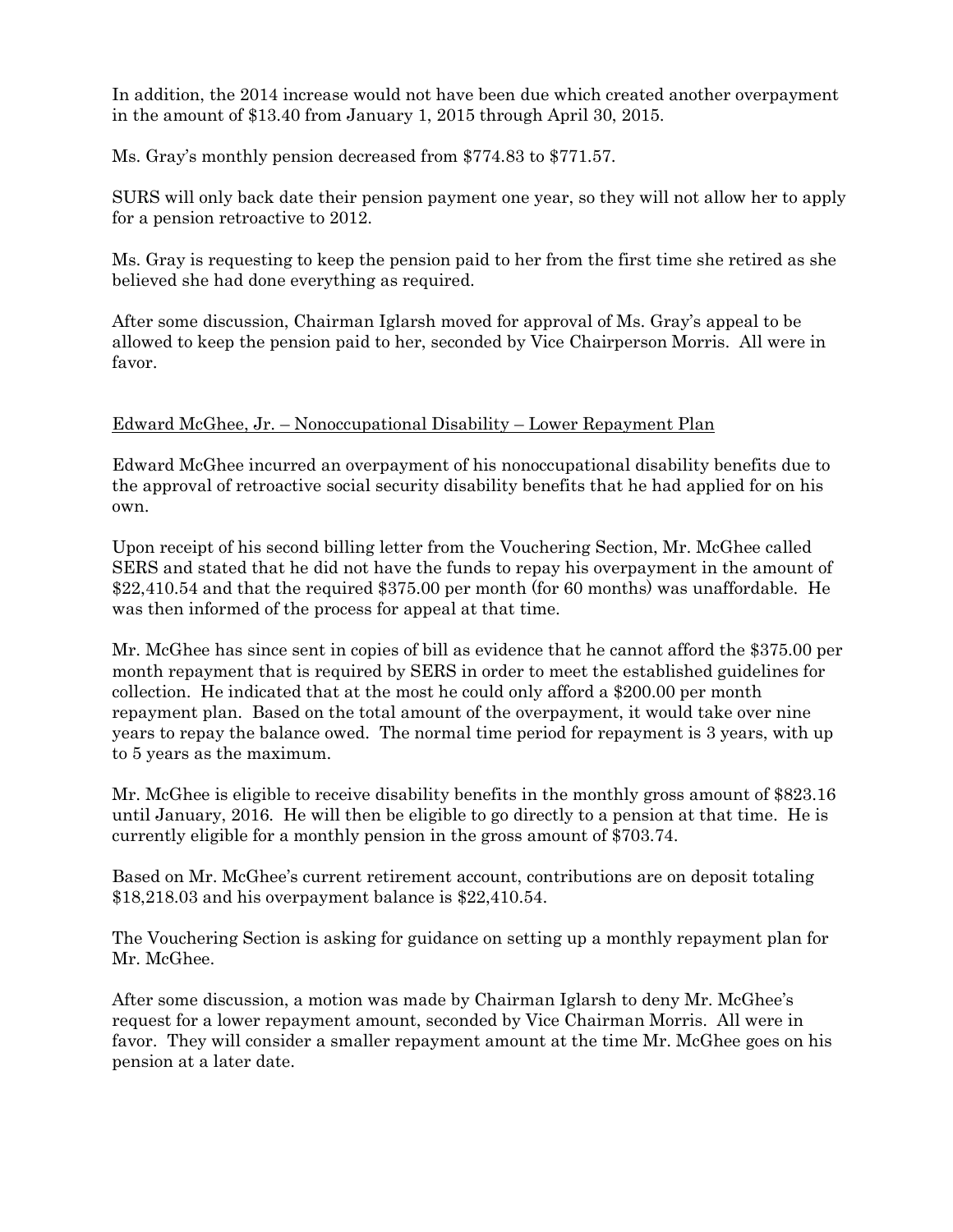In addition, the 2014 increase would not have been due which created another overpayment in the amount of \$13.40 from January 1, 2015 through April 30, 2015.

Ms. Gray's monthly pension decreased from \$774.83 to \$771.57.

SURS will only back date their pension payment one year, so they will not allow her to apply for a pension retroactive to 2012.

Ms. Gray is requesting to keep the pension paid to her from the first time she retired as she believed she had done everything as required.

After some discussion, Chairman Iglarsh moved for approval of Ms. Gray's appeal to be allowed to keep the pension paid to her, seconded by Vice Chairperson Morris. All were in favor.

# Edward McGhee, Jr. – Nonoccupational Disability – Lower Repayment Plan

Edward McGhee incurred an overpayment of his nonoccupational disability benefits due to the approval of retroactive social security disability benefits that he had applied for on his own.

Upon receipt of his second billing letter from the Vouchering Section, Mr. McGhee called SERS and stated that he did not have the funds to repay his overpayment in the amount of \$22,410.54 and that the required \$375.00 per month (for 60 months) was unaffordable. He was then informed of the process for appeal at that time.

Mr. McGhee has since sent in copies of bill as evidence that he cannot afford the \$375.00 per month repayment that is required by SERS in order to meet the established guidelines for collection. He indicated that at the most he could only afford a \$200.00 per month repayment plan. Based on the total amount of the overpayment, it would take over nine years to repay the balance owed. The normal time period for repayment is 3 years, with up to 5 years as the maximum.

Mr. McGhee is eligible to receive disability benefits in the monthly gross amount of \$823.16 until January, 2016. He will then be eligible to go directly to a pension at that time. He is currently eligible for a monthly pension in the gross amount of \$703.74.

Based on Mr. McGhee's current retirement account, contributions are on deposit totaling \$18,218.03 and his overpayment balance is \$22,410.54.

The Vouchering Section is asking for guidance on setting up a monthly repayment plan for Mr. McGhee.

After some discussion, a motion was made by Chairman Iglarsh to deny Mr. McGhee's request for a lower repayment amount, seconded by Vice Chairman Morris. All were in favor. They will consider a smaller repayment amount at the time Mr. McGhee goes on his pension at a later date.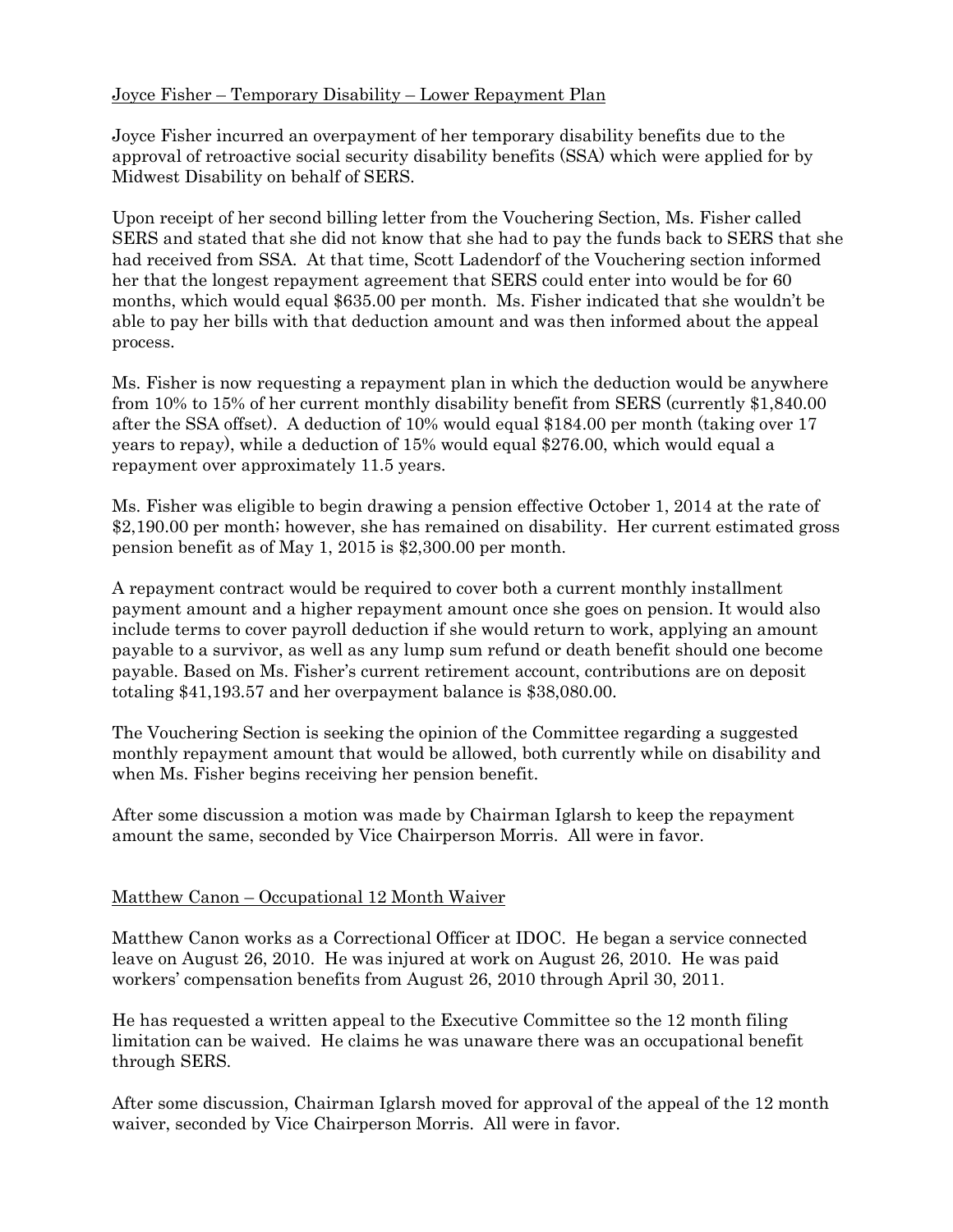# Joyce Fisher – Temporary Disability – Lower Repayment Plan

Joyce Fisher incurred an overpayment of her temporary disability benefits due to the approval of retroactive social security disability benefits (SSA) which were applied for by Midwest Disability on behalf of SERS.

Upon receipt of her second billing letter from the Vouchering Section, Ms. Fisher called SERS and stated that she did not know that she had to pay the funds back to SERS that she had received from SSA. At that time, Scott Ladendorf of the Vouchering section informed her that the longest repayment agreement that SERS could enter into would be for 60 months, which would equal \$635.00 per month. Ms. Fisher indicated that she wouldn't be able to pay her bills with that deduction amount and was then informed about the appeal process.

Ms. Fisher is now requesting a repayment plan in which the deduction would be anywhere from 10% to 15% of her current monthly disability benefit from SERS (currently \$1,840.00 after the SSA offset). A deduction of 10% would equal \$184.00 per month (taking over 17 years to repay), while a deduction of 15% would equal \$276.00, which would equal a repayment over approximately 11.5 years.

Ms. Fisher was eligible to begin drawing a pension effective October 1, 2014 at the rate of \$2,190.00 per month; however, she has remained on disability. Her current estimated gross pension benefit as of May 1, 2015 is \$2,300.00 per month.

A repayment contract would be required to cover both a current monthly installment payment amount and a higher repayment amount once she goes on pension. It would also include terms to cover payroll deduction if she would return to work, applying an amount payable to a survivor, as well as any lump sum refund or death benefit should one become payable. Based on Ms. Fisher's current retirement account, contributions are on deposit totaling \$41,193.57 and her overpayment balance is \$38,080.00.

The Vouchering Section is seeking the opinion of the Committee regarding a suggested monthly repayment amount that would be allowed, both currently while on disability and when Ms. Fisher begins receiving her pension benefit.

After some discussion a motion was made by Chairman Iglarsh to keep the repayment amount the same, seconded by Vice Chairperson Morris. All were in favor.

### Matthew Canon – Occupational 12 Month Waiver

Matthew Canon works as a Correctional Officer at IDOC. He began a service connected leave on August 26, 2010. He was injured at work on August 26, 2010. He was paid workers' compensation benefits from August 26, 2010 through April 30, 2011.

He has requested a written appeal to the Executive Committee so the 12 month filing limitation can be waived. He claims he was unaware there was an occupational benefit through SERS.

After some discussion, Chairman Iglarsh moved for approval of the appeal of the 12 month waiver, seconded by Vice Chairperson Morris. All were in favor.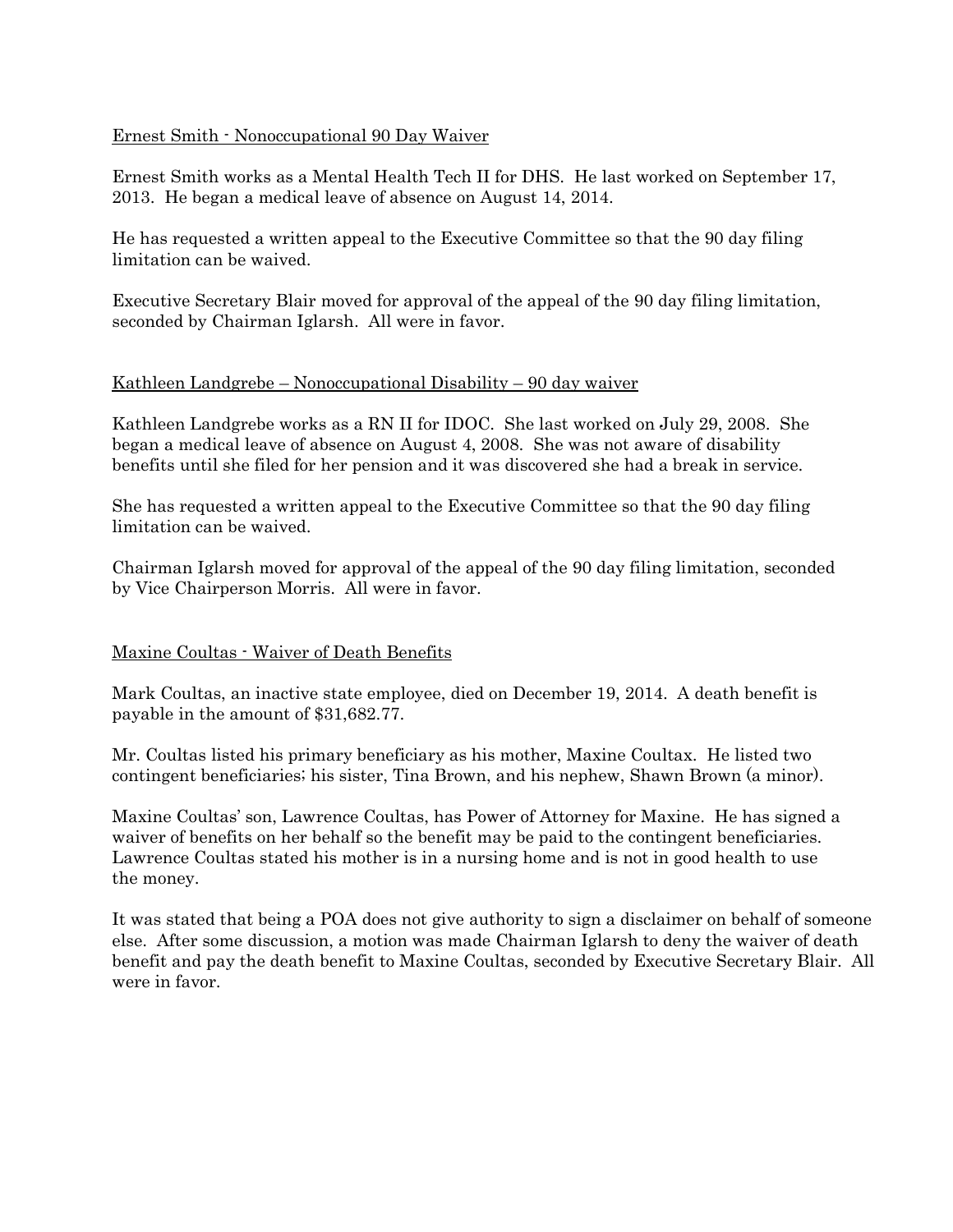### Ernest Smith - Nonoccupational 90 Day Waiver

Ernest Smith works as a Mental Health Tech II for DHS. He last worked on September 17, 2013. He began a medical leave of absence on August 14, 2014.

He has requested a written appeal to the Executive Committee so that the 90 day filing limitation can be waived.

Executive Secretary Blair moved for approval of the appeal of the 90 day filing limitation, seconded by Chairman Iglarsh. All were in favor.

### Kathleen Landgrebe – Nonoccupational Disability – 90 day waiver

Kathleen Landgrebe works as a RN II for IDOC. She last worked on July 29, 2008. She began a medical leave of absence on August 4, 2008. She was not aware of disability benefits until she filed for her pension and it was discovered she had a break in service.

She has requested a written appeal to the Executive Committee so that the 90 day filing limitation can be waived.

Chairman Iglarsh moved for approval of the appeal of the 90 day filing limitation, seconded by Vice Chairperson Morris. All were in favor.

#### Maxine Coultas - Waiver of Death Benefits

Mark Coultas, an inactive state employee, died on December 19, 2014. A death benefit is payable in the amount of \$31,682.77.

Mr. Coultas listed his primary beneficiary as his mother, Maxine Coultax. He listed two contingent beneficiaries; his sister, Tina Brown, and his nephew, Shawn Brown (a minor).

Maxine Coultas' son, Lawrence Coultas, has Power of Attorney for Maxine. He has signed a waiver of benefits on her behalf so the benefit may be paid to the contingent beneficiaries. Lawrence Coultas stated his mother is in a nursing home and is not in good health to use the money.

It was stated that being a POA does not give authority to sign a disclaimer on behalf of someone else. After some discussion, a motion was made Chairman Iglarsh to deny the waiver of death benefit and pay the death benefit to Maxine Coultas, seconded by Executive Secretary Blair. All were in favor.